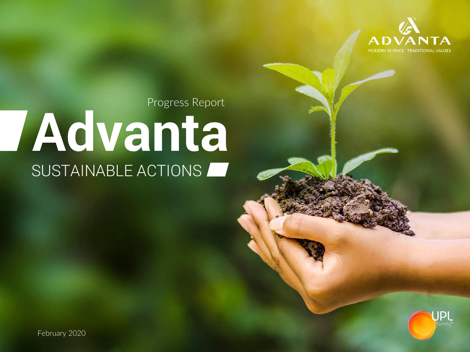

Progress Report

# **Advanta** SUSTAINABLE ACTIONS



February 2020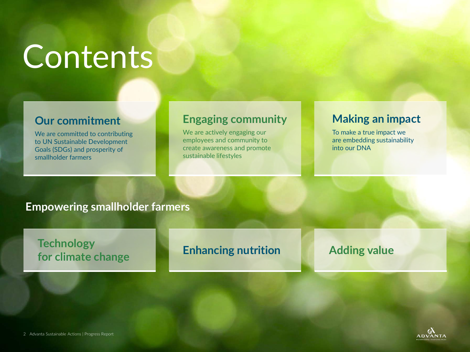# Contents

### **Our commitment**

We are committed to contributing to UN Sustainable Development Goals (SDGs) and prosperity of smallholder farmers

### **Engaging community**

We are actively engaging our employees and community to create awareness and promote sustainable lifestyles

### **Making an impact**

To make a true impact we are embedding sustainability into our DNA

#### **Empowering smallholder farmers**

### **Enhancing nutrition Technology for climate change Adding value Adding value**

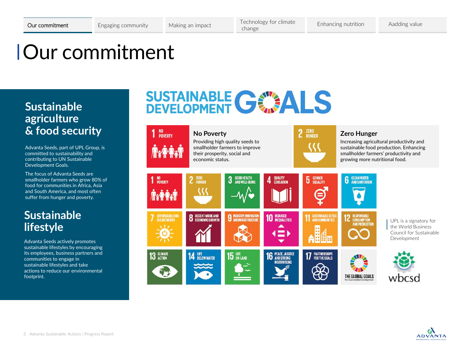### Our commitment

### **Sustainable agriculture & food security**

Advanta Seeds, part of UPL Group, is committed to sustainability and contributing to UN Sustainable Development Goals.

The focus of Advanta Seeds are smallholder farmers who grow 80% of food for communities in Africa, Asia and South America, and most often suffer from hunger and poverty.

### **Sustainable lifestyle**

Advanta Seeds actively promotes sustainable lifestyles by encouraging its employees, business partners and communities to engage in sustainable lifestyles and take actions to reduce our environmental footprint.

## SUSTAINABLE GEWALS



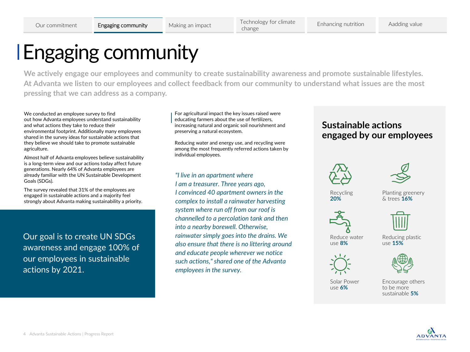### Engaging community

**We actively engage our employees and community to create sustainability awareness and promote sustainable lifestyles. At Advanta we listen to our employees and collect feedback from our community to understand what issues are the most pressing that we can address as a company.** 

We conducted an employee survey to find out how Advanta employees understand sustainability and what actions they take to reduce their environmental footprint. Additionally many employees shared in the survey ideas for sustainable actions that they believe we should take to promote sustainable agriculture.

Almost half of Advanta employees believe sustainability is a long-term view and our actions today affect future generations. Nearly 64% of Advanta employees are already familiar with the UN Sustainable Development Goals (SDGs).

The survey revealed that 31% of the employees are engaged in sustainable actions and a majority feel strongly about Advanta making sustainability a priority.

Our goal is to create UN SDGs awareness and engage 100% of our employees in sustainable actions by 2021.

For agricultural impact the key issues raised were educating farmers about the use of fertilizers, increasing natural and organic soil nourishment and preserving a natural ecosystem.

Reducing water and energy use, and recycling were among the most frequently referred actions taken by individual employees.

*"I live in an apartment where I am a treasurer. Three years ago, I convinced 40 apartment owners in the complex to install a rainwater harvesting system where run off from our roof is channelled to a percolation tank and then into a nearby borewell. Otherwise, rainwater simply goes into the drains. We also ensure that there is no littering around and educate people wherever we notice such actions," shared one of the Advanta employees in the survey.*

#### **Sustainable actions engaged by our employees**





Recycling **20%**

Planting greenery & trees **16%**





Reduce water use **8%**

Reducing plastic use **15%**





Solar Power use **6%**

Encourage others to be more sustainable **5%**

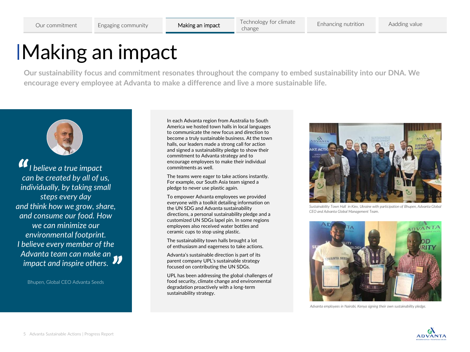## Making an impact

**Our sustainability focus and commitment resonates throughout the company to embed sustainability into our DNA. We encourage every employee at Advanta to make a difference and live a more sustainable life.** 



*I believe a true impact can be created by all of us, individually, by taking small steps every day and think how we grow, share, and consume our food. How we can minimize our environmental footprint. I believe every member of the Advanta team can make an impact and inspire others. "* "<br>"

Bhupen, Global CEO Advanta Seeds

In each Advanta region from Australia to South America we hosted town halls in local languages to communicate the new focus and direction to become a truly sustainable business. At the town halls, our leaders made a strong call for action and signed a sustainability pledge to show their commitment to Advanta strategy and to encourage employees to make their individual commitments as well.

The teams were eager to take actions instantly. For example, our South Asia team signed a pledge to never use plastic again.

the UN SDG and Advanta sustainability<br>directions, a personal sustainability pledge and a To empower Advanta employees we provided everyone with a toolkit detailing information on the UN SDG and Advanta sustainability customized UN SDGs lapel pin. In some regions employees also received water bottles and ceramic cups to stop using plastic.

The sustainability town halls brought a lot of enthusiasm and eagerness to take actions.

Advanta's sustainable direction is part of its parent company UPL's sustainable strategy focused on contributing the UN SDGs.

UPL has been addressing the global challenges of food security, climate change and environmental degradation proactively with a long-term sustainability strategy.



*Sustainability Town Hall in Kiev, Ukraine with participation of Bhupen, Advanta Global CEO and Advanta Global Management Team.* 



*Advanta employees in Nairobi, Kenya signing their own sustainability pledge.*

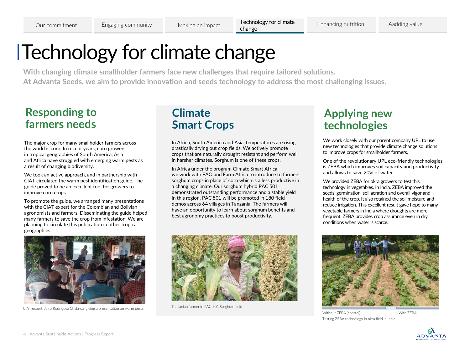### Technology for climate change

**With changing climate smallholder farmers face new challenges that require tailored solutions. At Advanta Seeds, we aim to provide innovation and seeds technology to address the most challenging issues.** 

### **Responding to farmers needs**

The major crop for many smallholder farmers across the world is corn. In recent years, corn growers in tropical geographies of South America, Asia and Africa have struggled with emerging warm pests as a result of changing biodiversity.

We took an active approach, and in partnership with CIAT circulated the warm pest identification guide. The guide proved to be an excellent tool for growers to improve corn crops.

To promote the guide, we arranged many presentations with the CIAT expert for the Colombian and Bolivian agronomists and farmers. Disseminating the guide helped many farmers to save the crop from infestation. We are planning to circulate this publication in other tropical geographies.



CIAT expert, Jairo Rodríguez Chalarca, giving a presentation on warm pests.

### **Climate Smart Crops**

In Africa, South America and Asia, temperatures are rising drastically drying out crop fields. We actively promote crops that are naturally drought resistant and perform well in harsher climates. Sorghum is one of these crops.

In Africa under the program Climate Smart Africa, we work with FAO and Farm Africa to introduce to farmers sorghum crops in place of corn which is a less productive in a changing climate. Our sorghum hybrid PAC 501 demonstrated outstanding performance and a stable yield in this region. PAC 501 will be promoted in 180 field demos across 64 villages in Tanzania. The farmers will have an opportunity to learn about sorghum benefits and best agronomy practices to boost productivity.



Tanzanian farmer in PAC 501 Sorghum field

### **Applying new technologies**

We work closely with our parent company UPL to use new technologies that provide climate change solutions to improve crops for smallholder farmers.

One of the revolutionary UPL eco-friendly technologies is ZEBA which improves soil capacity and productivity and allows to save 20% of water.

We provided ZEBA for okra growers to test this technology in vegetables. In India. ZEBA improved the seeds' germination, soil aeration and overall vigor and health of the crop. It also retained the soil moisture and reduce irrigation. This excellent result gave hope to many vegetable farmers in India where droughts are more frequent. ZEBA provides crop assurance even in dry conditions when water is scarce.



Without ZEBA (control) With ZEBA Testing ZEBA technology in okra field in India.

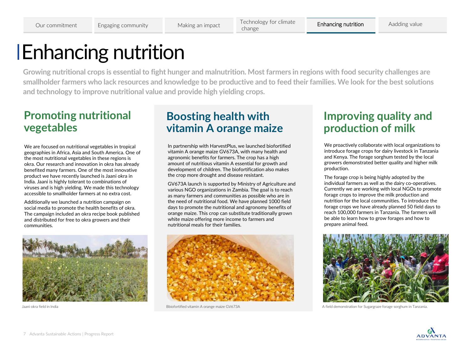### Enhancing nutrition

**Growing nutritional crops is essential to fight hunger and malnutrition. Most farmers in regions with food security challenges are smallholder farmers who lack resources and knowledge to be productive and to feed their families. We look for the best solutions and technology to improve nutritional value and provide high yielding crops.** 

### **Promoting nutritional vegetables**

We are focused on nutritional vegetables in tropical geographies in Africa, Asia and South America. One of the most nutritional vegetables in these regions is okra. Our research and innovation in okra has already benefited many farmers. One of the most innovative product we have recently launched is Jaani okra in India. Jaani is highly tolerant to combinations of viruses and is high yielding. We made this technology accessible to smallholder farmers at no extra cost.

Additionally we launched a nutrition campaign on social media to promote the health benefits of okra. The campaign included an okra recipe book published and distributed for free to okra growers and their communities.



### **Boosting health with vitamin A orange maize**

In partnership with HarvestPlus, we launched biofortified vitamin A orange maize GV673A, with many health and agronomic benefits for farmers. The crop has a high amount of nutritious vitamin A essential for growth and development of children. The biofortification also makes the crop more drought and disease resistant.

GV673A launch is supported by Ministry of Agriculture and various NGO organizations in Zambia. The goal is to reach as many farmers and communities as possible who are in the need of nutritional food. We have planned 1000 field days to promote the nutritional and agronomy benefits of orange maize. This crop can substitute traditionally grown white maize offering more income to farmers and nutritional meals for their families.



### **Improving quality and production of milk**

We proactively collaborate with local organizations to introduce forage crops for dairy livestock in Tanzania and Kenya. The forage sorghum tested by the local growers demonstrated better quality and higher milk production.

The forage crop is being highly adopted by the individual farmers as well as the dairy co-operatives. Currently we are working with local NGOs to promote forage crops to improve the milk production and nutrition for the local communities. To introduce the forage crops we have already planned 50 field days to reach 100,000 farmers in Tanzania. The farmers will be able to learn how to grow forages and how to prepare animal feed.



Jaani okra field in India Bbiofortified vitamin A orange maize GV673A A field demonstration for Sugargraze forage sorghum in Tanzania.

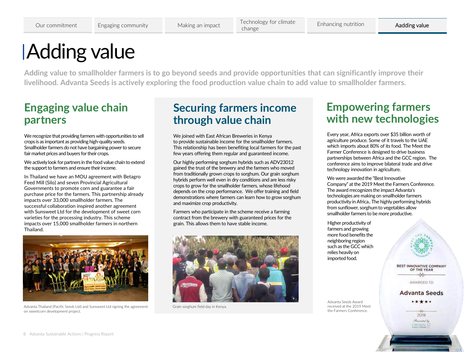## Adding value

**Adding value to smallholder farmers is to go beyond seeds and provide opportunities that can significantly improve their livelihood. Advanta Seeds is actively exploring the food production value chain to add value to smallholder farmers.**

### **Engaging value chain partners**

We recognize that providing farmers with opportunities to sell crops is as important as providing high-quality seeds. Smallholder farmers do not have bargaining power to secure fair market prices and buyers for their crops.

We actively look for partners in the food value chain to extend the support to farmers and ensure their income.

In Thailand we have an MOU agreement with Betagro Feed Mill (Silo) and seven Provincial Agricultural Governments to promote corn and guarantee a fair purchase price for the farmers. This partnership already impacts over 33,000 smallholder farmers*.* The successful collaboration inspired another agreement with Sunsweet Ltd for the development of sweet corn varieties for the processing industry. This scheme impacts over 15,000 smallholder farmers in northern Thailand.



Advanta Thailand (Pacific Seeds Ltd) and Sunsweet Ltd signing the agreement on sweetcorn development project.

#### **Securing farmers income through value chain**

We joined with East African Breweries in Kenya to provide sustainable income for the smallholder farmers. This relationship has been benefiting local farmers for the past few years offering them regular and guaranteed income.

Our highly performing sorghum hybrids such as ADV23012 gained the trust of the brewery and the farmers who moved from traditionally grown crops to sorghum. Our grain sorghum hybrids perform well even in dry conditions and are less risky crops to grow for the smallholder farmers, whose lifehood depends on the crop performance. We offer training and field demonstrations where farmers can learn how to grow sorghum and maximize crop productivity.

Farmers who participate in the scheme receive a farming contract from the brewery with guaranteed prices for the grain. This allows them to have stable income.



Grain sorghum field day in Kenya.

### **Empowering farmers with new technologies**

Every year, Africa exports over \$35 billion worth of agriculture produce. Some of it travels to the UAE which imports about 80% of its food. The Meet the Farmer Conference is designed to drive business partnerships between Africa and the GCC region. The conference aims to improve bilateral trade and drive technology innovation in agriculture.

We were awarded the "Best Innovative Company" at the 2019 Meet the Farmers Conference. The award rrecognizes the impact Advanta's technologies are making on smallholder farmers productivity in Africa.. The highly performing hybrids from sunflower, sorghum to vegetables allow smallholder farmers to be more productive.

Higher productivity of farmers and growing more food benefits the neighboring region such as the GCC which relies heavily on imported food.



**Advanta Seeds** \* \* \* \*

2019 Presented by **CRENCY** 

Advanta Seeds Award received at the 2019 Meet the Farmers Conference.